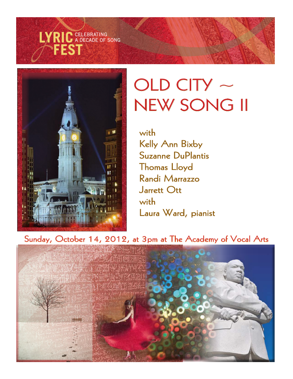



# $OLD$  CITY  $\sim$ NEW SONG II

with Kelly Ann Bixby Suzanne DuPlantis Thomas Lloyd Randi Marrazzo Jarrett Ott with Laura Ward, pianist

Sunday, October 14, 2012, at 3pm at The Academy of Vocal Arts

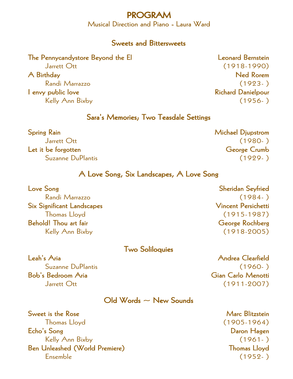#### PROGRAM

Musical Direction and Piano - Laura Ward

#### Sweets and Bittersweets

#### The Pennycandystore Beyond the El and the El Leonard Bernstein

I envy public love a state of the state of the Richard Danielpour

## Jarrett Ott (1918-1990) A Birthday Ned Rorem and the United States of the United States and the Ned Rorem of the Ned Rorem of the United States and the United States and the United States and the United States and the United States and the United Randi Marrazzo (1923- ) Kelly Ann Bixby (1956- )

#### Sara's Memories; Two Teasdale Settings

| <b>Spring Rain</b>  | <b>Michael Djupstrom</b> |
|---------------------|--------------------------|
| Jarrett Ott         | $(1980- )$               |
| Let it be forgotten | George Crumb             |
| Suzanne DuPlantis   | $(1929-)$                |

#### A Love Song, Six Landscapes, A Love Song

| Love Song                         | <b>Sheridan Seyfried</b>   |
|-----------------------------------|----------------------------|
| Randi Marrazzo                    | $(1984-)$                  |
| <b>Six Significant Landscapes</b> | <b>Vincent Persichetti</b> |
| <b>Thomas Lloyd</b>               | $(1915-1987)$              |
| <b>Behold!</b> Thou art fair      | George Rochberg            |
| Kelly Ann Bixby                   | $(1918 - 2005)$            |

#### Two Soliloquies

Bob's Bedroom Aria Gian Carlo Menotti

Leah's Aria Andrea Clearfield Suzanne DuPlantis (1960- ) Jarrett Ott (1911-2007)

#### $Old Words ~ \sim$  New Sounds

Sweet is the Rose Marc Blitzstein Sweet is the Rose Marc Blitzstein Marc Blitzstein Thomas Lloyd (1905-1964) Echo's Song Daron Hagen Kelly Ann Bixby (1961- ) Ben Unleashed (World Premiere) Thomas Lloyd Ensemble (1952- )